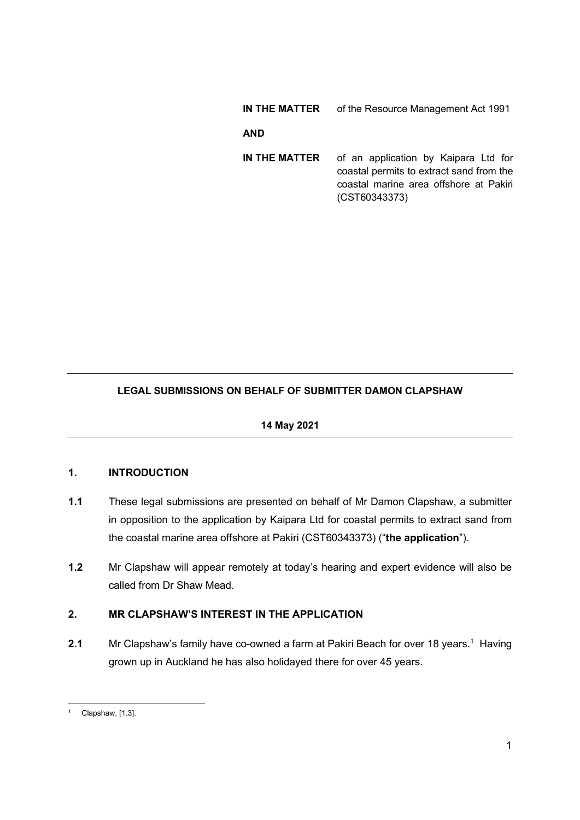# IN THE MATTER of the Resource Management Act 1991

### AND

IN THE MATTER of an application by Kaipara Ltd for coastal permits to extract sand from the coastal marine area offshore at Pakiri (CST60343373)

# LEGAL SUBMISSIONS ON BEHALF OF SUBMITTER DAMON CLAPSHAW

14 May 2021

# 1. INTRODUCTION

- 1.1 These legal submissions are presented on behalf of Mr Damon Clapshaw, a submitter in opposition to the application by Kaipara Ltd for coastal permits to extract sand from the coastal marine area offshore at Pakiri (CST60343373) ("the application").
- 1.2 Mr Clapshaw will appear remotely at today's hearing and expert evidence will also be called from Dr Shaw Mead.

# 2. MR CLAPSHAW'S INTEREST IN THE APPLICATION

2.1 Mr Clapshaw's family have co-owned a farm at Pakiri Beach for over 18 years.<sup>1</sup> Having grown up in Auckland he has also holidayed there for over 45 years.

<sup>1</sup> Clapshaw, [1.3].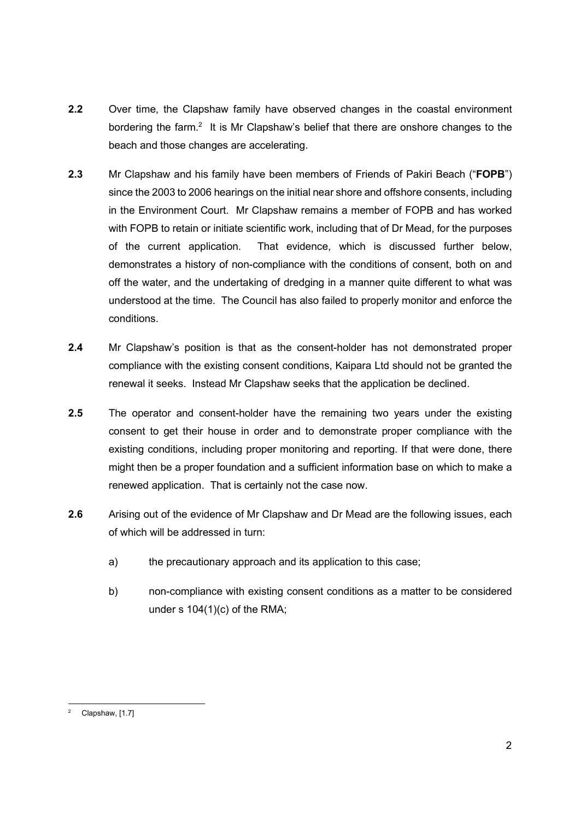- 2.2 Over time, the Clapshaw family have observed changes in the coastal environment bordering the farm. $2$  It is Mr Clapshaw's belief that there are onshore changes to the beach and those changes are accelerating.
- 2.3 Mr Clapshaw and his family have been members of Friends of Pakiri Beach ("FOPB") since the 2003 to 2006 hearings on the initial near shore and offshore consents, including in the Environment Court. Mr Clapshaw remains a member of FOPB and has worked with FOPB to retain or initiate scientific work, including that of Dr Mead, for the purposes of the current application. That evidence, which is discussed further below, demonstrates a history of non-compliance with the conditions of consent, both on and off the water, and the undertaking of dredging in a manner quite different to what was understood at the time. The Council has also failed to properly monitor and enforce the conditions.
- 2.4 Mr Clapshaw's position is that as the consent-holder has not demonstrated proper compliance with the existing consent conditions, Kaipara Ltd should not be granted the renewal it seeks. Instead Mr Clapshaw seeks that the application be declined.
- 2.5 The operator and consent-holder have the remaining two years under the existing consent to get their house in order and to demonstrate proper compliance with the existing conditions, including proper monitoring and reporting. If that were done, there might then be a proper foundation and a sufficient information base on which to make a renewed application. That is certainly not the case now.
- 2.6 Arising out of the evidence of Mr Clapshaw and Dr Mead are the following issues, each of which will be addressed in turn:
	- a) the precautionary approach and its application to this case;
	- b) non-compliance with existing consent conditions as a matter to be considered under s 104(1)(c) of the RMA;

<sup>2</sup> Clapshaw, [1.7]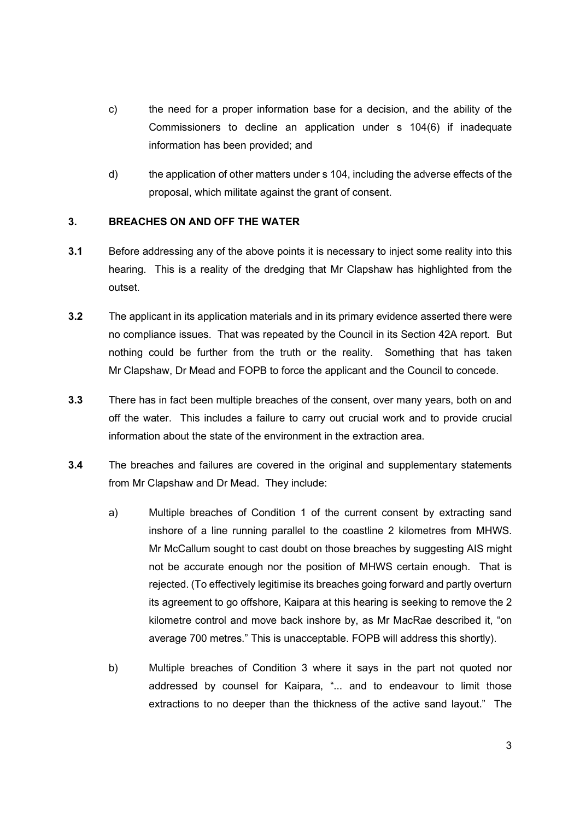- c) the need for a proper information base for a decision, and the ability of the Commissioners to decline an application under s 104(6) if inadequate information has been provided; and
- d) the application of other matters under s 104, including the adverse effects of the proposal, which militate against the grant of consent.

### 3. BREACHES ON AND OFF THE WATER

- 3.1 Before addressing any of the above points it is necessary to inject some reality into this hearing. This is a reality of the dredging that Mr Clapshaw has highlighted from the outset.
- 3.2 The applicant in its application materials and in its primary evidence asserted there were no compliance issues. That was repeated by the Council in its Section 42A report. But nothing could be further from the truth or the reality. Something that has taken Mr Clapshaw, Dr Mead and FOPB to force the applicant and the Council to concede.
- 3.3 There has in fact been multiple breaches of the consent, over many years, both on and off the water. This includes a failure to carry out crucial work and to provide crucial information about the state of the environment in the extraction area.
- 3.4 The breaches and failures are covered in the original and supplementary statements from Mr Clapshaw and Dr Mead. They include:
	- a) Multiple breaches of Condition 1 of the current consent by extracting sand inshore of a line running parallel to the coastline 2 kilometres from MHWS. Mr McCallum sought to cast doubt on those breaches by suggesting AIS might not be accurate enough nor the position of MHWS certain enough. That is rejected. (To effectively legitimise its breaches going forward and partly overturn its agreement to go offshore, Kaipara at this hearing is seeking to remove the 2 kilometre control and move back inshore by, as Mr MacRae described it, "on average 700 metres." This is unacceptable. FOPB will address this shortly).
	- b) Multiple breaches of Condition 3 where it says in the part not quoted nor addressed by counsel for Kaipara, "... and to endeavour to limit those extractions to no deeper than the thickness of the active sand layout." The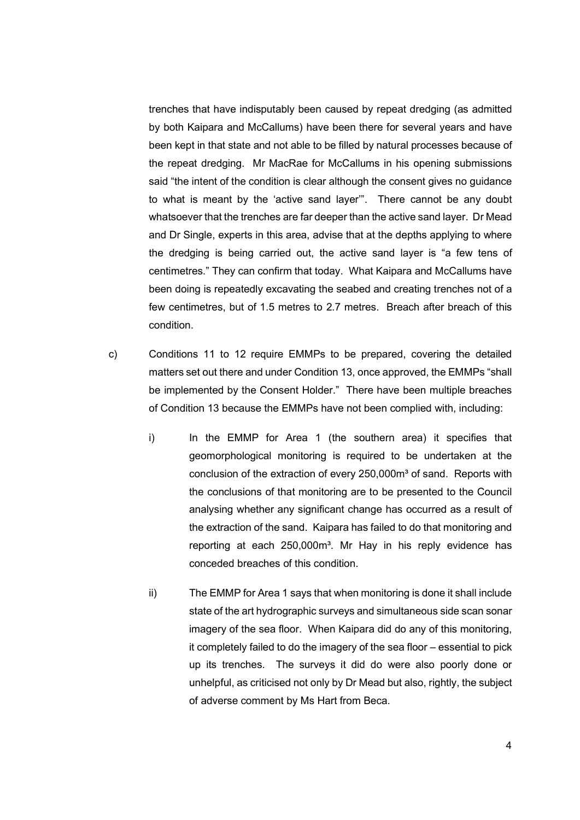trenches that have indisputably been caused by repeat dredging (as admitted by both Kaipara and McCallums) have been there for several years and have been kept in that state and not able to be filled by natural processes because of the repeat dredging. Mr MacRae for McCallums in his opening submissions said "the intent of the condition is clear although the consent gives no guidance to what is meant by the 'active sand layer'". There cannot be any doubt whatsoever that the trenches are far deeper than the active sand layer. Dr Mead and Dr Single, experts in this area, advise that at the depths applying to where the dredging is being carried out, the active sand layer is "a few tens of centimetres." They can confirm that today. What Kaipara and McCallums have been doing is repeatedly excavating the seabed and creating trenches not of a few centimetres, but of 1.5 metres to 2.7 metres. Breach after breach of this condition.

- c) Conditions 11 to 12 require EMMPs to be prepared, covering the detailed matters set out there and under Condition 13, once approved, the EMMPs "shall be implemented by the Consent Holder." There have been multiple breaches of Condition 13 because the EMMPs have not been complied with, including:
	- i) In the EMMP for Area 1 (the southern area) it specifies that geomorphological monitoring is required to be undertaken at the conclusion of the extraction of every 250,000m<sup>3</sup> of sand. Reports with the conclusions of that monitoring are to be presented to the Council analysing whether any significant change has occurred as a result of the extraction of the sand. Kaipara has failed to do that monitoring and reporting at each 250,000m<sup>3</sup>. Mr Hay in his reply evidence has conceded breaches of this condition.
	- ii) The EMMP for Area 1 says that when monitoring is done it shall include state of the art hydrographic surveys and simultaneous side scan sonar imagery of the sea floor. When Kaipara did do any of this monitoring, it completely failed to do the imagery of the sea floor – essential to pick up its trenches. The surveys it did do were also poorly done or unhelpful, as criticised not only by Dr Mead but also, rightly, the subject of adverse comment by Ms Hart from Beca.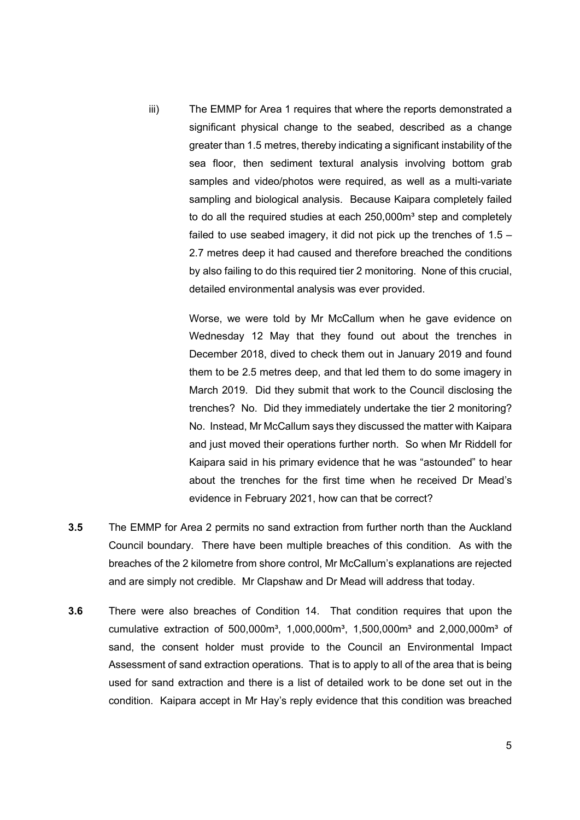iii) The EMMP for Area 1 requires that where the reports demonstrated a significant physical change to the seabed, described as a change greater than 1.5 metres, thereby indicating a significant instability of the sea floor, then sediment textural analysis involving bottom grab samples and video/photos were required, as well as a multi-variate sampling and biological analysis. Because Kaipara completely failed to do all the required studies at each 250,000m<sup>3</sup> step and completely failed to use seabed imagery, it did not pick up the trenches of 1.5 – 2.7 metres deep it had caused and therefore breached the conditions by also failing to do this required tier 2 monitoring. None of this crucial, detailed environmental analysis was ever provided.

> Worse, we were told by Mr McCallum when he gave evidence on Wednesday 12 May that they found out about the trenches in December 2018, dived to check them out in January 2019 and found them to be 2.5 metres deep, and that led them to do some imagery in March 2019. Did they submit that work to the Council disclosing the trenches? No. Did they immediately undertake the tier 2 monitoring? No. Instead, Mr McCallum says they discussed the matter with Kaipara and just moved their operations further north. So when Mr Riddell for Kaipara said in his primary evidence that he was "astounded" to hear about the trenches for the first time when he received Dr Mead's evidence in February 2021, how can that be correct?

- 3.5 The EMMP for Area 2 permits no sand extraction from further north than the Auckland Council boundary. There have been multiple breaches of this condition. As with the breaches of the 2 kilometre from shore control, Mr McCallum's explanations are rejected and are simply not credible. Mr Clapshaw and Dr Mead will address that today.
- 3.6 There were also breaches of Condition 14. That condition requires that upon the cumulative extraction of 500,000m<sup>3</sup>, 1,000,000m<sup>3</sup>, 1,500,000m<sup>3</sup> and 2,000,000m<sup>3</sup> of sand, the consent holder must provide to the Council an Environmental Impact Assessment of sand extraction operations. That is to apply to all of the area that is being used for sand extraction and there is a list of detailed work to be done set out in the condition. Kaipara accept in Mr Hay's reply evidence that this condition was breached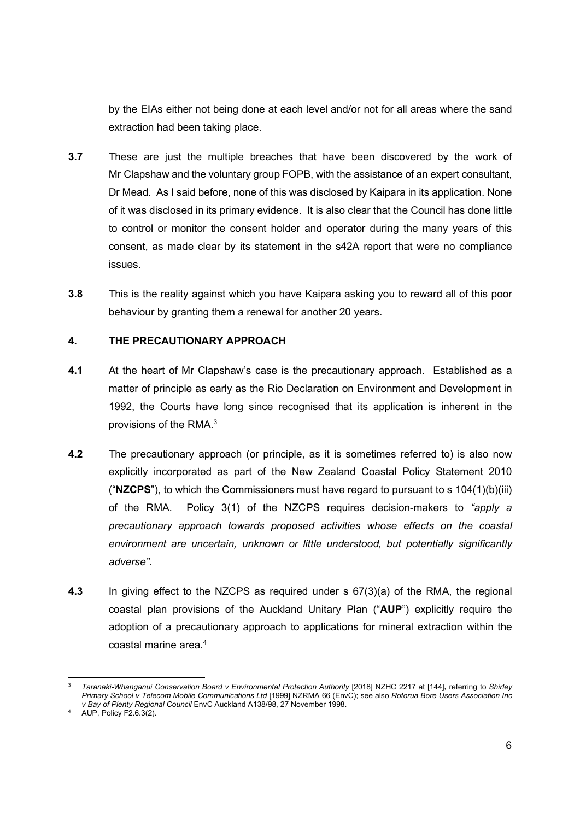by the EIAs either not being done at each level and/or not for all areas where the sand extraction had been taking place.

- 3.7 These are just the multiple breaches that have been discovered by the work of Mr Clapshaw and the voluntary group FOPB, with the assistance of an expert consultant, Dr Mead. As I said before, none of this was disclosed by Kaipara in its application. None of it was disclosed in its primary evidence. It is also clear that the Council has done little to control or monitor the consent holder and operator during the many years of this consent, as made clear by its statement in the s42A report that were no compliance issues.
- 3.8 This is the reality against which you have Kaipara asking you to reward all of this poor behaviour by granting them a renewal for another 20 years.

## 4. THE PRECAUTIONARY APPROACH

- 4.1 At the heart of Mr Clapshaw's case is the precautionary approach. Established as a matter of principle as early as the Rio Declaration on Environment and Development in 1992, the Courts have long since recognised that its application is inherent in the provisions of the RMA.<sup>3</sup>
- 4.2 The precautionary approach (or principle, as it is sometimes referred to) is also now explicitly incorporated as part of the New Zealand Coastal Policy Statement 2010 ("NZCPS"), to which the Commissioners must have regard to pursuant to s  $104(1)(b)(iii)$ of the RMA. Policy 3(1) of the NZCPS requires decision-makers to "apply a precautionary approach towards proposed activities whose effects on the coastal environment are uncertain, unknown or little understood, but potentially significantly adverse".
- 4.3 In giving effect to the NZCPS as required under s 67(3)(a) of the RMA, the regional coastal plan provisions of the Auckland Unitary Plan ("AUP") explicitly require the adoption of a precautionary approach to applications for mineral extraction within the coastal marine area.<sup>4</sup>

<sup>3</sup> Taranaki-Whanganui Conservation Board v Environmental Protection Authority [2018] NZHC 2217 at [144], referring to Shirley Primary School v Telecom Mobile Communications Ltd [1999] NZRMA 66 (EnvC); see also Rotorua Bore Users Association Inc v Bay of Plenty Regional Council EnvC Auckland A138/98, 27 November 1998.

<sup>4</sup> AUP, Policy F2.6.3(2).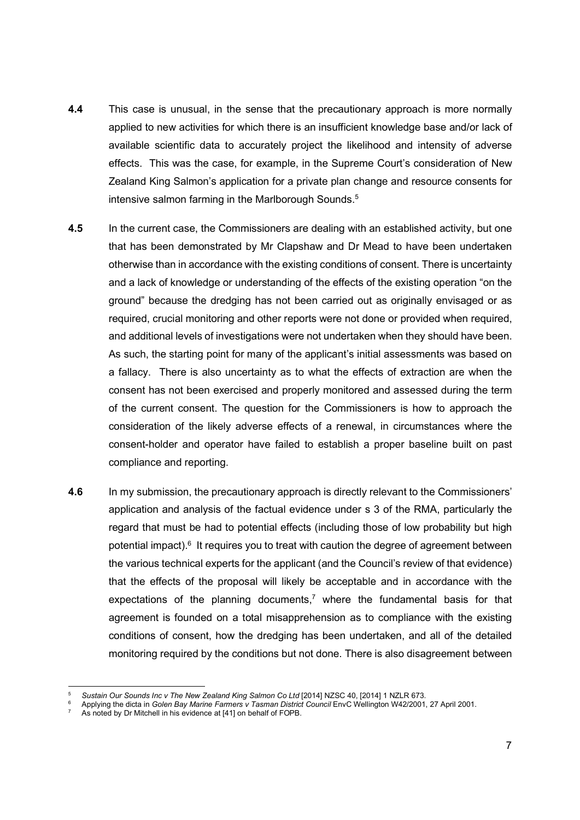- **4.4** This case is unusual, in the sense that the precautionary approach is more normally applied to new activities for which there is an insufficient knowledge base and/or lack of available scientific data to accurately project the likelihood and intensity of adverse effects. This was the case, for example, in the Supreme Court's consideration of New Zealand King Salmon's application for a private plan change and resource consents for intensive salmon farming in the Marlborough Sounds.<sup>5</sup>
- 4.5 In the current case, the Commissioners are dealing with an established activity, but one that has been demonstrated by Mr Clapshaw and Dr Mead to have been undertaken otherwise than in accordance with the existing conditions of consent. There is uncertainty and a lack of knowledge or understanding of the effects of the existing operation "on the ground" because the dredging has not been carried out as originally envisaged or as required, crucial monitoring and other reports were not done or provided when required, and additional levels of investigations were not undertaken when they should have been. As such, the starting point for many of the applicant's initial assessments was based on a fallacy. There is also uncertainty as to what the effects of extraction are when the consent has not been exercised and properly monitored and assessed during the term of the current consent. The question for the Commissioners is how to approach the consideration of the likely adverse effects of a renewal, in circumstances where the consent-holder and operator have failed to establish a proper baseline built on past compliance and reporting.
- 4.6 In my submission, the precautionary approach is directly relevant to the Commissioners' application and analysis of the factual evidence under s 3 of the RMA, particularly the regard that must be had to potential effects (including those of low probability but high potential impact).<sup>6</sup> It requires you to treat with caution the degree of agreement between the various technical experts for the applicant (and the Council's review of that evidence) that the effects of the proposal will likely be acceptable and in accordance with the expectations of the planning documents,<sup>7</sup> where the fundamental basis for that agreement is founded on a total misapprehension as to compliance with the existing conditions of consent, how the dredging has been undertaken, and all of the detailed monitoring required by the conditions but not done. There is also disagreement between

<sup>5</sup> Sustain Our Sounds Inc v The New Zealand King Salmon Co Ltd [2014] NZSC 40, [2014] 1 NZLR 673.

<sup>6</sup> Applying the dicta in Golen Bay Marine Farmers v Tasman District Council EnvC Wellington W42/2001, 27 April 2001.

<sup>7</sup> As noted by Dr Mitchell in his evidence at [41] on behalf of FOPB.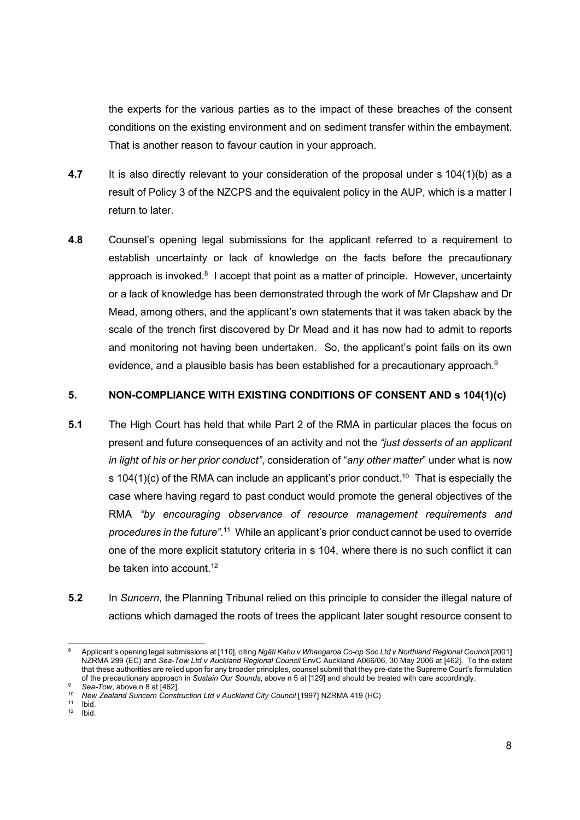the experts for the various parties as to the impact of these breaches of the consent conditions on the existing environment and on sediment transfer within the embayment. That is another reason to favour caution in your approach.

- 4.7 It is also directly relevant to your consideration of the proposal under s 104(1)(b) as a result of Policy 3 of the NZCPS and the equivalent policy in the AUP, which is a matter I return to later.
- 4.8 Counsel's opening legal submissions for the applicant referred to a requirement to establish uncertainty or lack of knowledge on the facts before the precautionary approach is invoked.<sup>8</sup> I accept that point as a matter of principle. However, uncertainty or a lack of knowledge has been demonstrated through the work of Mr Clapshaw and Dr Mead, among others, and the applicant's own statements that it was taken aback by the scale of the trench first discovered by Dr Mead and it has now had to admit to reports and monitoring not having been undertaken. So, the applicant's point fails on its own evidence, and a plausible basis has been established for a precautionary approach.<sup>9</sup>

### 5. NON-COMPLIANCE WITH EXISTING CONDITIONS OF CONSENT AND s 104(1)(c)

- 5.1 The High Court has held that while Part 2 of the RMA in particular places the focus on present and future consequences of an activity and not the "just desserts of an applicant in light of his or her prior conduct", consideration of "any other matter" under what is now s 104(1)(c) of the RMA can include an applicant's prior conduct.<sup>10</sup> That is especially the case where having regard to past conduct would promote the general objectives of the RMA "by encouraging observance of resource management requirements and procedures in the future".<sup>11</sup> While an applicant's prior conduct cannot be used to override one of the more explicit statutory criteria in s 104, where there is no such conflict it can be taken into account.<sup>12</sup>
- 5.2 In Suncern, the Planning Tribunal relied on this principle to consider the illegal nature of actions which damaged the roots of trees the applicant later sought resource consent to

 $11$  Ibid.<br> $12$  Ibid. 12 Ibid.

<sup>8</sup> Applicant's opening legal submissions at [110], citing Ngāti Kahu v Whangaroa Co-op Soc Ltd v Northland Regional Council [2001] NZRMA 299 (EC) and Sea-Tow Ltd v Auckland Regional Council EnvC Auckland A066/06, 30 May 2006 at [462]. To the extent that these authorities are relied upon for any broader principles, counsel submit that they pre-date the Supreme Court's formulation of the precautionary approach in Sustain Our Sounds, above n 5 at [129] and should be treated with care accordingly.

<sup>&</sup>lt;sup>9</sup> Sea-Tow, above n 8 at [462].<br><sup>10</sup> New Zealand Suncern Construction Ltd v Auckland City Council [1997] NZRMA 419 (HC)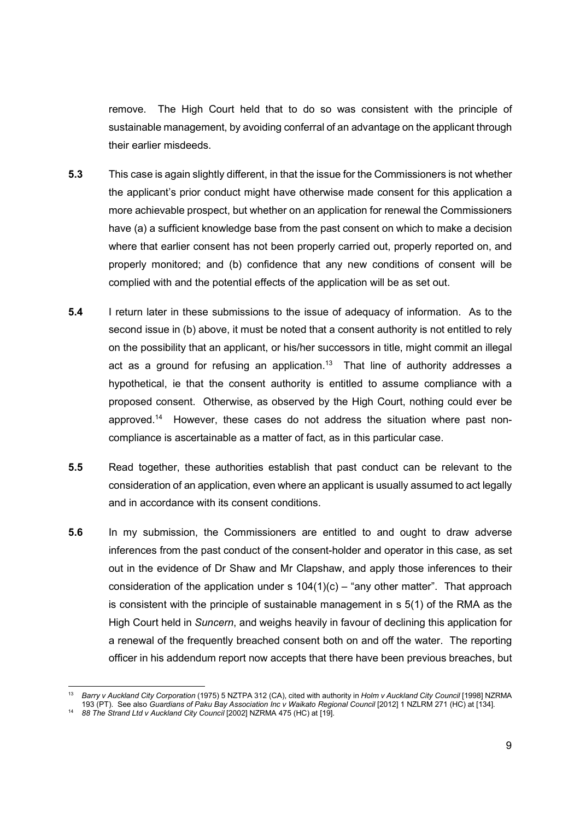remove. The High Court held that to do so was consistent with the principle of sustainable management, by avoiding conferral of an advantage on the applicant through their earlier misdeeds.

- 5.3 This case is again slightly different, in that the issue for the Commissioners is not whether the applicant's prior conduct might have otherwise made consent for this application a more achievable prospect, but whether on an application for renewal the Commissioners have (a) a sufficient knowledge base from the past consent on which to make a decision where that earlier consent has not been properly carried out, properly reported on, and properly monitored; and (b) confidence that any new conditions of consent will be complied with and the potential effects of the application will be as set out.
- 5.4 I return later in these submissions to the issue of adequacy of information. As to the second issue in (b) above, it must be noted that a consent authority is not entitled to rely on the possibility that an applicant, or his/her successors in title, might commit an illegal act as a ground for refusing an application.<sup>13</sup> That line of authority addresses a hypothetical, ie that the consent authority is entitled to assume compliance with a proposed consent. Otherwise, as observed by the High Court, nothing could ever be approved.14 However, these cases do not address the situation where past noncompliance is ascertainable as a matter of fact, as in this particular case.
- 5.5 Read together, these authorities establish that past conduct can be relevant to the consideration of an application, even where an applicant is usually assumed to act legally and in accordance with its consent conditions.
- 5.6 In my submission, the Commissioners are entitled to and ought to draw adverse inferences from the past conduct of the consent-holder and operator in this case, as set out in the evidence of Dr Shaw and Mr Clapshaw, and apply those inferences to their consideration of the application under s  $104(1)(c)$  – "any other matter". That approach is consistent with the principle of sustainable management in s 5(1) of the RMA as the High Court held in Suncern, and weighs heavily in favour of declining this application for a renewal of the frequently breached consent both on and off the water. The reporting officer in his addendum report now accepts that there have been previous breaches, but

<sup>13</sup> Barry v Auckland City Corporation (1975) 5 NZTPA 312 (CA), cited with authority in Holm v Auckland City Council [1998] NZRMA 193 (PT). See also Guardians of Paku Bay Association Inc v Waikato Regional Council [2012] 1 NZLRM 271 (HC) at [134].

<sup>&</sup>lt;sup>14</sup> 88 The Strand Ltd v Auckland City Council [2002] NZRMA 475 (HC) at [19].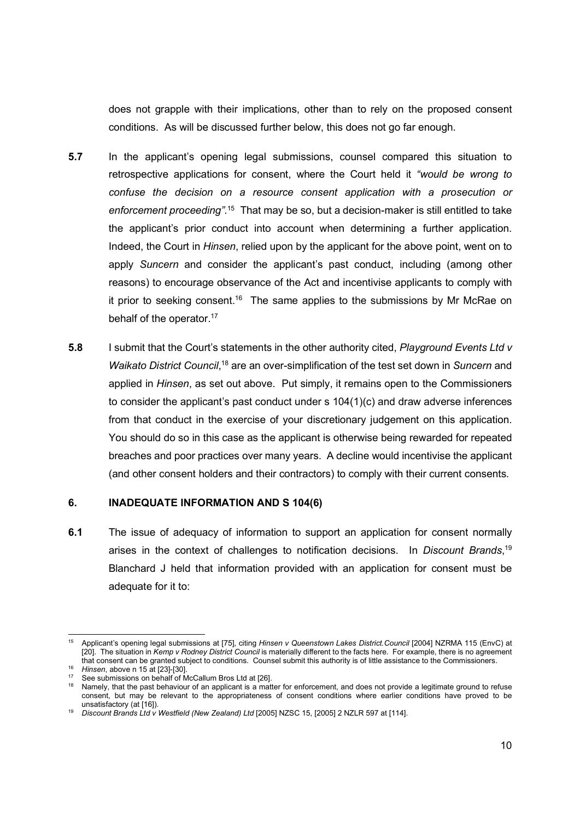does not grapple with their implications, other than to rely on the proposed consent conditions. As will be discussed further below, this does not go far enough.

- 5.7 In the applicant's opening legal submissions, counsel compared this situation to retrospective applications for consent, where the Court held it "would be wrong to confuse the decision on a resource consent application with a prosecution or enforcement proceeding".<sup>15</sup> That may be so, but a decision-maker is still entitled to take the applicant's prior conduct into account when determining a further application. Indeed, the Court in Hinsen, relied upon by the applicant for the above point, went on to apply Suncern and consider the applicant's past conduct, including (among other reasons) to encourage observance of the Act and incentivise applicants to comply with it prior to seeking consent.<sup>16</sup> The same applies to the submissions by Mr McRae on behalf of the operator.<sup>17</sup>
- 5.8 I submit that the Court's statements in the other authority cited. Playground Events Ltd v Waikato District Council,<sup>18</sup> are an over-simplification of the test set down in Suncern and applied in Hinsen, as set out above. Put simply, it remains open to the Commissioners to consider the applicant's past conduct under s 104(1)(c) and draw adverse inferences from that conduct in the exercise of your discretionary judgement on this application. You should do so in this case as the applicant is otherwise being rewarded for repeated breaches and poor practices over many years. A decline would incentivise the applicant (and other consent holders and their contractors) to comply with their current consents.

#### 6. INADEQUATE INFORMATION AND S 104(6)

6.1 The issue of adequacy of information to support an application for consent normally arises in the context of challenges to notification decisions. In Discount Brands,<sup>19</sup> Blanchard J held that information provided with an application for consent must be adequate for it to:

<sup>&</sup>lt;sup>15</sup> Applicant's opening legal submissions at [75], citing Hinsen v Queenstown Lakes District.Council [2004] NZRMA 115 (EnvC) at [20]. The situation in Kemp v Rodney District Council is materially different to the facts here. For example, there is no agreement that consent can be granted subject to conditions. Counsel submit this authority is of little assistance to the Commissioners.

<sup>16</sup> Hinsen, above n 15 at [23]-[30].

See submissions on behalf of McCallum Bros Ltd at [26].

<sup>18</sup> Namely, that the past behaviour of an applicant is a matter for enforcement, and does not provide a legitimate ground to refuse consent, but may be relevant to the appropriateness of consent conditions where earlier conditions have proved to be unsatisfactory (at [16]).

<sup>&</sup>lt;sup>19</sup> Discount Brands Ltd v Westfield (New Zealand) Ltd [2005] NZSC 15, [2005] 2 NZLR 597 at [114].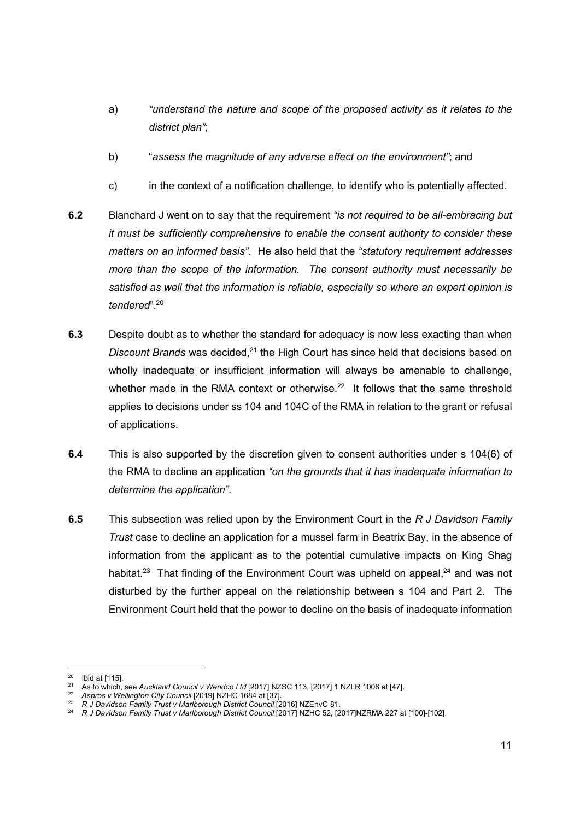- a) "understand the nature and scope of the proposed activity as it relates to the district plan";
- b) "assess the magnitude of any adverse effect on the environment"; and
- c) in the context of a notification challenge, to identify who is potentially affected.
- 6.2 Blanchard J went on to say that the requirement "is not required to be all-embracing but it must be sufficiently comprehensive to enable the consent authority to consider these matters on an informed basis". He also held that the "statutory requirement addresses more than the scope of the information. The consent authority must necessarily be satisfied as well that the information is reliable, especially so where an expert opinion is tendered".<sup>20</sup>
- 6.3 Despite doubt as to whether the standard for adequacy is now less exacting than when Discount Brands was decided, $21$  the High Court has since held that decisions based on wholly inadequate or insufficient information will always be amenable to challenge, whether made in the RMA context or otherwise.<sup>22</sup> It follows that the same threshold applies to decisions under ss 104 and 104C of the RMA in relation to the grant or refusal of applications.
- 6.4 This is also supported by the discretion given to consent authorities under s 104(6) of the RMA to decline an application "on the grounds that it has inadequate information to determine the application".
- 6.5 This subsection was relied upon by the Environment Court in the  $R$  J Davidson Family Trust case to decline an application for a mussel farm in Beatrix Bay, in the absence of information from the applicant as to the potential cumulative impacts on King Shag habitat.<sup>23</sup> That finding of the Environment Court was upheld on appeal, $24$  and was not disturbed by the further appeal on the relationship between s 104 and Part 2. The Environment Court held that the power to decline on the basis of inadequate information

 $20$  Ibid at [115].

<sup>&</sup>lt;sup>21</sup> As to which, see Auckland Council v Wendco Ltd [2017] NZSC 113, [2017] 1 NZLR 1008 at [47].<br><sup>22</sup> Aspros v Wellington City Council [2019] NZHC 1684 at [37].<br><sup>23</sup> R J Davidson Family Trust v Marlborough District Council

<sup>&</sup>lt;sup>24</sup> R J Davidson Family Trust v Marlborough District Council [2017] NZHC 52, [2017]NZRMA 227 at [100]-[102].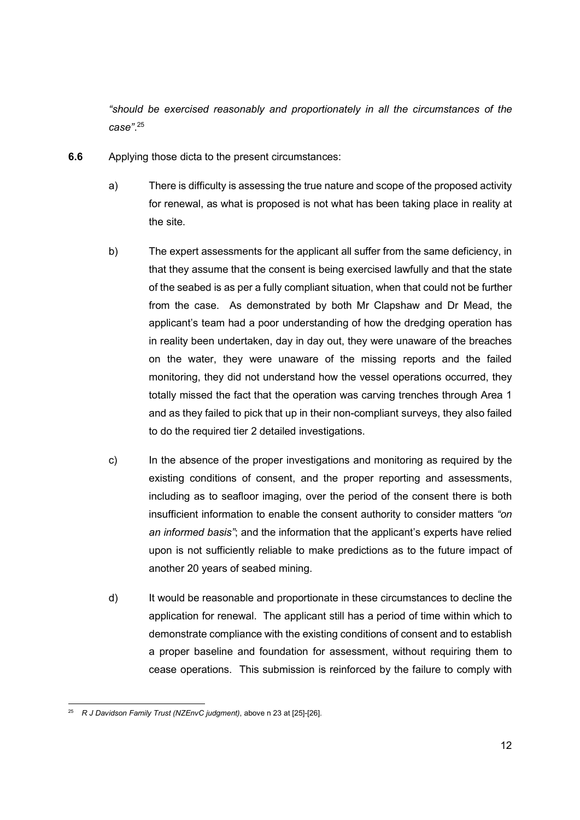"should be exercised reasonably and proportionately in all the circumstances of the case". 25

- 6.6 Applying those dicta to the present circumstances:
	- a) There is difficulty is assessing the true nature and scope of the proposed activity for renewal, as what is proposed is not what has been taking place in reality at the site.
	- b) The expert assessments for the applicant all suffer from the same deficiency, in that they assume that the consent is being exercised lawfully and that the state of the seabed is as per a fully compliant situation, when that could not be further from the case. As demonstrated by both Mr Clapshaw and Dr Mead, the applicant's team had a poor understanding of how the dredging operation has in reality been undertaken, day in day out, they were unaware of the breaches on the water, they were unaware of the missing reports and the failed monitoring, they did not understand how the vessel operations occurred, they totally missed the fact that the operation was carving trenches through Area 1 and as they failed to pick that up in their non-compliant surveys, they also failed to do the required tier 2 detailed investigations.
	- c) In the absence of the proper investigations and monitoring as required by the existing conditions of consent, and the proper reporting and assessments, including as to seafloor imaging, over the period of the consent there is both insufficient information to enable the consent authority to consider matters "on an informed basis"; and the information that the applicant's experts have relied upon is not sufficiently reliable to make predictions as to the future impact of another 20 years of seabed mining.
	- d) It would be reasonable and proportionate in these circumstances to decline the application for renewal. The applicant still has a period of time within which to demonstrate compliance with the existing conditions of consent and to establish a proper baseline and foundation for assessment, without requiring them to cease operations. This submission is reinforced by the failure to comply with

<sup>&</sup>lt;sup>25</sup> R J Davidson Family Trust (NZEnvC judgment), above n 23 at [25]-[26].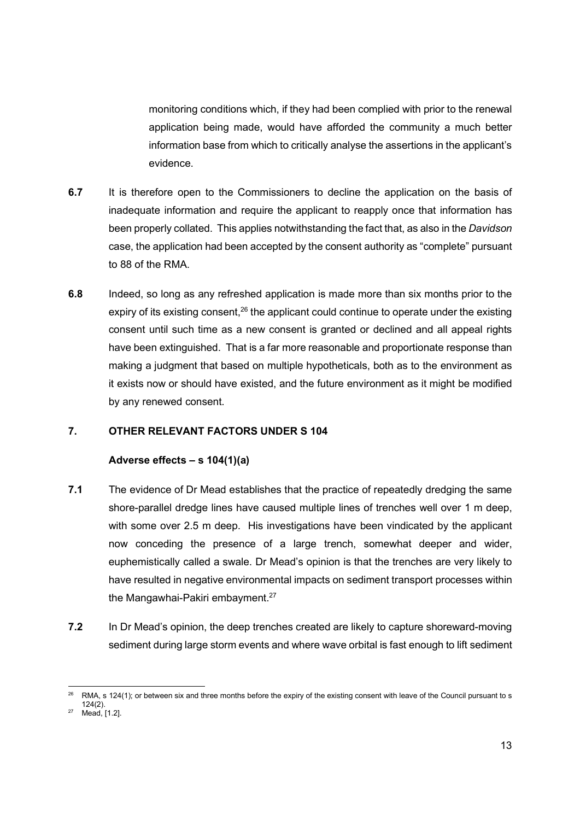monitoring conditions which, if they had been complied with prior to the renewal application being made, would have afforded the community a much better information base from which to critically analyse the assertions in the applicant's evidence.

- 6.7 It is therefore open to the Commissioners to decline the application on the basis of inadequate information and require the applicant to reapply once that information has been properly collated. This applies notwithstanding the fact that, as also in the Davidson case, the application had been accepted by the consent authority as "complete" pursuant to 88 of the RMA.
- 6.8 Indeed, so long as any refreshed application is made more than six months prior to the expiry of its existing consent, $26$  the applicant could continue to operate under the existing consent until such time as a new consent is granted or declined and all appeal rights have been extinguished. That is a far more reasonable and proportionate response than making a judgment that based on multiple hypotheticals, both as to the environment as it exists now or should have existed, and the future environment as it might be modified by any renewed consent.

### 7. OTHER RELEVANT FACTORS UNDER S 104

### Adverse effects – s 104(1)(a)

- 7.1 The evidence of Dr Mead establishes that the practice of repeatedly dredging the same shore-parallel dredge lines have caused multiple lines of trenches well over 1 m deep, with some over 2.5 m deep. His investigations have been vindicated by the applicant now conceding the presence of a large trench, somewhat deeper and wider, euphemistically called a swale. Dr Mead's opinion is that the trenches are very likely to have resulted in negative environmental impacts on sediment transport processes within the Mangawhai-Pakiri embayment.<sup>27</sup>
- 7.2 In Dr Mead's opinion, the deep trenches created are likely to capture shoreward-moving sediment during large storm events and where wave orbital is fast enough to lift sediment

RMA, s 124(1); or between six and three months before the expiry of the existing consent with leave of the Council pursuant to s 124(2).

 $27$  Mead, [1.2].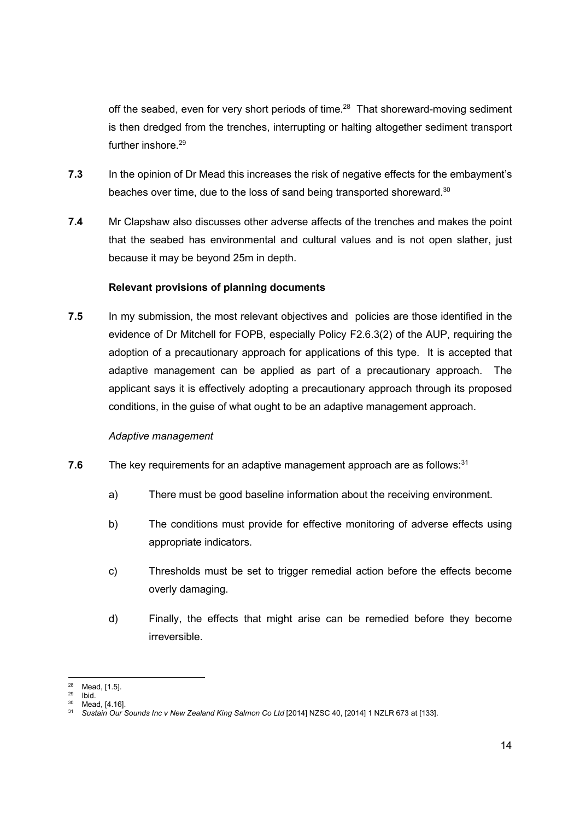off the seabed, even for very short periods of time.<sup>28</sup> That shoreward-moving sediment is then dredged from the trenches, interrupting or halting altogether sediment transport further inshore.<sup>29</sup>

- 7.3 In the opinion of Dr Mead this increases the risk of negative effects for the embayment's beaches over time, due to the loss of sand being transported shoreward.<sup>30</sup>
- 7.4 Mr Clapshaw also discusses other adverse affects of the trenches and makes the point that the seabed has environmental and cultural values and is not open slather, just because it may be beyond 25m in depth.

## Relevant provisions of planning documents

7.5 In my submission, the most relevant objectives and policies are those identified in the evidence of Dr Mitchell for FOPB, especially Policy F2.6.3(2) of the AUP, requiring the adoption of a precautionary approach for applications of this type. It is accepted that adaptive management can be applied as part of a precautionary approach. The applicant says it is effectively adopting a precautionary approach through its proposed conditions, in the guise of what ought to be an adaptive management approach.

### Adaptive management

- 7.6 The key requirements for an adaptive management approach are as follows: $31$ 
	- a) There must be good baseline information about the receiving environment.
	- b) The conditions must provide for effective monitoring of adverse effects using appropriate indicators.
	- c) Thresholds must be set to trigger remedial action before the effects become overly damaging.
	- d) Finally, the effects that might arise can be remedied before they become irreversible.

 $\frac{28}{29}$  Mead, [1.5].

 $^{29}$  Ibid.

Mead, [4.16].

<sup>31</sup> Sustain Our Sounds Inc v New Zealand King Salmon Co Ltd [2014] NZSC 40, [2014] 1 NZLR 673 at [133].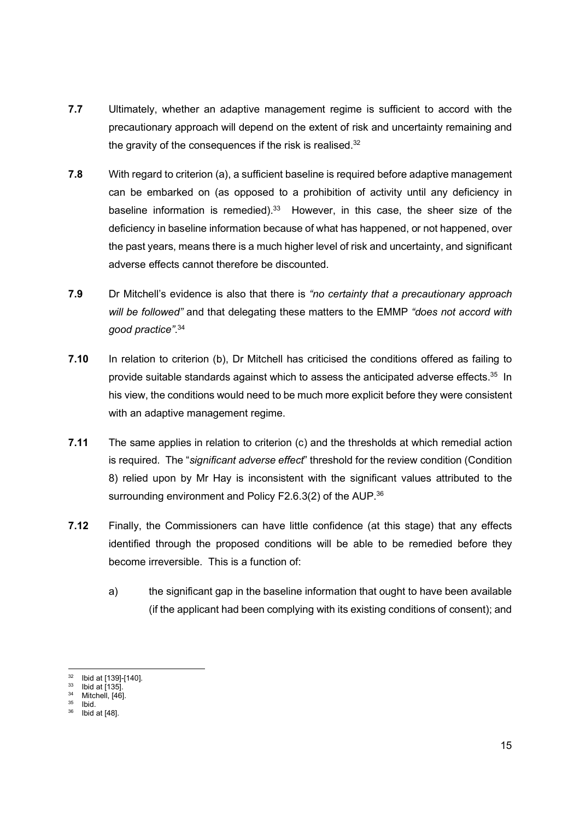- 7.7 Ultimately, whether an adaptive management regime is sufficient to accord with the precautionary approach will depend on the extent of risk and uncertainty remaining and the gravity of the consequences if the risk is realised. $32$
- 7.8 With regard to criterion (a), a sufficient baseline is required before adaptive management can be embarked on (as opposed to a prohibition of activity until any deficiency in baseline information is remedied).<sup>33</sup> However, in this case, the sheer size of the deficiency in baseline information because of what has happened, or not happened, over the past years, means there is a much higher level of risk and uncertainty, and significant adverse effects cannot therefore be discounted.
- 7.9 Dr Mitchell's evidence is also that there is "no certainty that a precautionary approach will be followed" and that delegating these matters to the EMMP "does not accord with good practice". 34
- 7.10 In relation to criterion (b), Dr Mitchell has criticised the conditions offered as failing to provide suitable standards against which to assess the anticipated adverse effects.<sup>35</sup> In his view, the conditions would need to be much more explicit before they were consistent with an adaptive management regime.
- 7.11 The same applies in relation to criterion (c) and the thresholds at which remedial action is required. The "significant adverse effect" threshold for the review condition (Condition 8) relied upon by Mr Hay is inconsistent with the significant values attributed to the surrounding environment and Policy F2.6.3(2) of the AUP.<sup>36</sup>
- 7.12 Finally, the Commissioners can have little confidence (at this stage) that any effects identified through the proposed conditions will be able to be remedied before they become irreversible. This is a function of:
	- a) the significant gap in the baseline information that ought to have been available (if the applicant had been complying with its existing conditions of consent); and

<sup>32</sup> Ibid at [139]-[140].

 $33$  Ibid at [135].  $34$  Mitchell, [46].

 $35$  Ibid.

 $36$  Ibid at [48].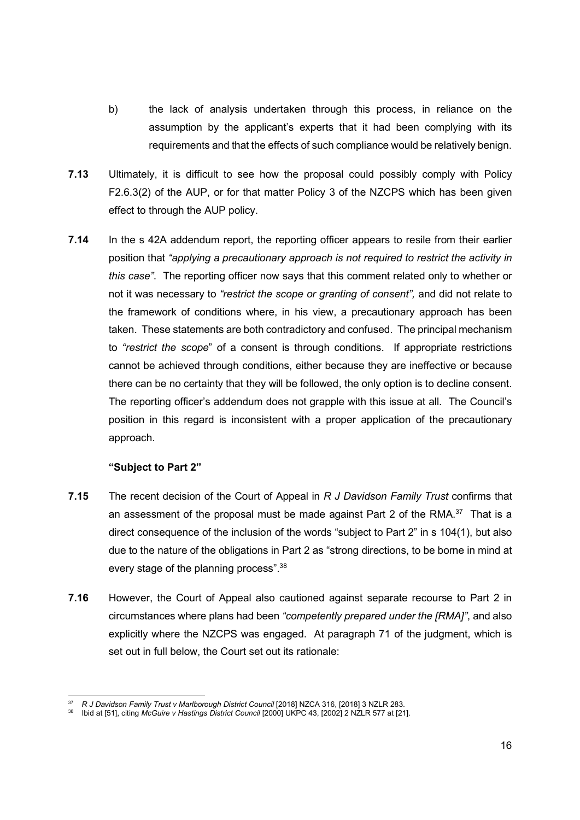- b) the lack of analysis undertaken through this process, in reliance on the assumption by the applicant's experts that it had been complying with its requirements and that the effects of such compliance would be relatively benign.
- 7.13 Ultimately, it is difficult to see how the proposal could possibly comply with Policy F2.6.3(2) of the AUP, or for that matter Policy 3 of the NZCPS which has been given effect to through the AUP policy.
- 7.14 In the s 42A addendum report, the reporting officer appears to resile from their earlier position that "applying a precautionary approach is not required to restrict the activity in this case". The reporting officer now says that this comment related only to whether or not it was necessary to "restrict the scope or granting of consent", and did not relate to the framework of conditions where, in his view, a precautionary approach has been taken. These statements are both contradictory and confused. The principal mechanism to "restrict the scope" of a consent is through conditions. If appropriate restrictions cannot be achieved through conditions, either because they are ineffective or because there can be no certainty that they will be followed, the only option is to decline consent. The reporting officer's addendum does not grapple with this issue at all. The Council's position in this regard is inconsistent with a proper application of the precautionary approach.

### "Subject to Part 2"

- 7.15 The recent decision of the Court of Appeal in R J Davidson Family Trust confirms that an assessment of the proposal must be made against Part 2 of the RMA. $37$  That is a direct consequence of the inclusion of the words "subject to Part 2" in s 104(1), but also due to the nature of the obligations in Part 2 as "strong directions, to be borne in mind at every stage of the planning process".<sup>38</sup>
- 7.16 However, the Court of Appeal also cautioned against separate recourse to Part 2 in circumstances where plans had been "competently prepared under the [RMA]", and also explicitly where the NZCPS was engaged. At paragraph 71 of the judgment, which is set out in full below, the Court set out its rationale:

<sup>&</sup>lt;sup>37</sup> R J Davidson Family Trust v Marlborough District Council [2018] NZCA 316, [2018] 3 NZLR 283.

<sup>38</sup> Ibid at [51], citing McGuire v Hastings District Council [2000] UKPC 43, [2002] 2 NZLR 577 at [21].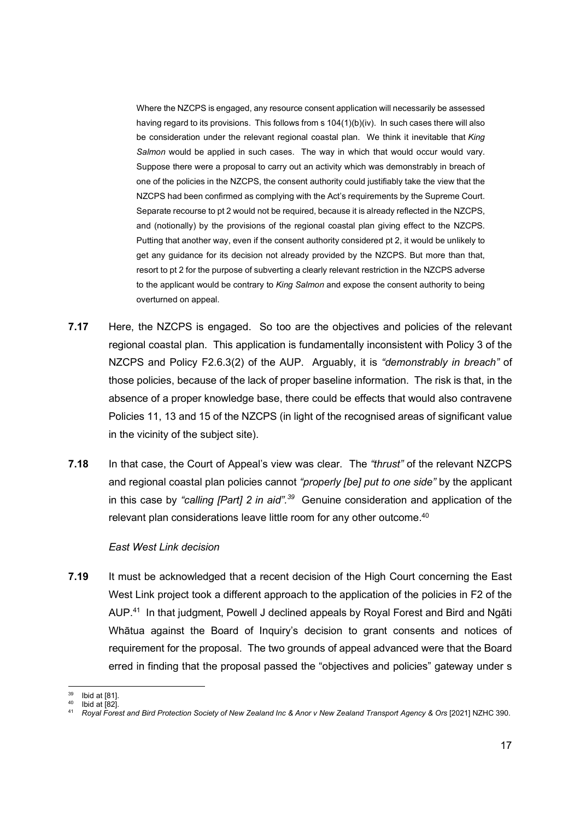Where the NZCPS is engaged, any resource consent application will necessarily be assessed having regard to its provisions. This follows from s 104(1)(b)(iv). In such cases there will also be consideration under the relevant regional coastal plan. We think it inevitable that King Salmon would be applied in such cases. The way in which that would occur would vary. Suppose there were a proposal to carry out an activity which was demonstrably in breach of one of the policies in the NZCPS, the consent authority could justifiably take the view that the NZCPS had been confirmed as complying with the Act's requirements by the Supreme Court. Separate recourse to pt 2 would not be required, because it is already reflected in the NZCPS, and (notionally) by the provisions of the regional coastal plan giving effect to the NZCPS. Putting that another way, even if the consent authority considered pt 2, it would be unlikely to get any guidance for its decision not already provided by the NZCPS. But more than that, resort to pt 2 for the purpose of subverting a clearly relevant restriction in the NZCPS adverse to the applicant would be contrary to King Salmon and expose the consent authority to being overturned on appeal.

- 7.17 Here, the NZCPS is engaged. So too are the objectives and policies of the relevant regional coastal plan. This application is fundamentally inconsistent with Policy 3 of the NZCPS and Policy F2.6.3(2) of the AUP. Arguably, it is "demonstrably in breach" of those policies, because of the lack of proper baseline information. The risk is that, in the absence of a proper knowledge base, there could be effects that would also contravene Policies 11, 13 and 15 of the NZCPS (in light of the recognised areas of significant value in the vicinity of the subject site).
- 7.18 In that case, the Court of Appeal's view was clear. The "*thrust*" of the relevant NZCPS and regional coastal plan policies cannot "properly [be] put to one side" by the applicant in this case by "calling [Part] 2 in aid".<sup>39</sup> Genuine consideration and application of the relevant plan considerations leave little room for any other outcome.<sup>40</sup>

#### East West Link decision

7.19 It must be acknowledged that a recent decision of the High Court concerning the East West Link project took a different approach to the application of the policies in F2 of the AUP.<sup>41</sup> In that judgment, Powell J declined appeals by Royal Forest and Bird and Ngāti Whātua against the Board of Inquiry's decision to grant consents and notices of requirement for the proposal. The two grounds of appeal advanced were that the Board erred in finding that the proposal passed the "objectives and policies" gateway under s

 $39$  Ibid at [81].

Ibid at [82].

<sup>41</sup> Royal Forest and Bird Protection Society of New Zealand Inc & Anor v New Zealand Transport Agency & Ors [2021] NZHC 390.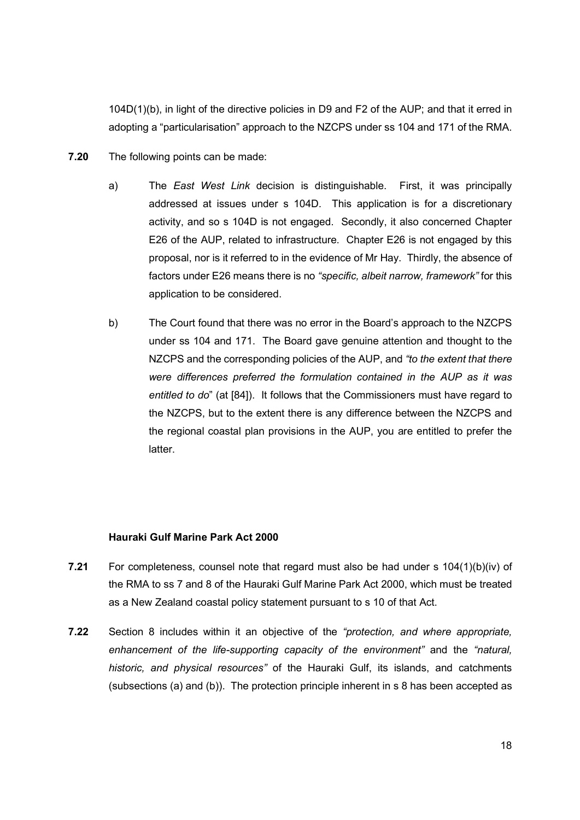104D(1)(b), in light of the directive policies in D9 and F2 of the AUP; and that it erred in adopting a "particularisation" approach to the NZCPS under ss 104 and 171 of the RMA.

- 7.20 The following points can be made:
	- a) The East West Link decision is distinguishable. First, it was principally addressed at issues under s 104D. This application is for a discretionary activity, and so s 104D is not engaged. Secondly, it also concerned Chapter E26 of the AUP, related to infrastructure. Chapter E26 is not engaged by this proposal, nor is it referred to in the evidence of Mr Hay. Thirdly, the absence of factors under E26 means there is no "specific, albeit narrow, framework" for this application to be considered.
	- b) The Court found that there was no error in the Board's approach to the NZCPS under ss 104 and 171. The Board gave genuine attention and thought to the NZCPS and the corresponding policies of the AUP, and "to the extent that there were differences preferred the formulation contained in the AUP as it was entitled to do" (at [84]). It follows that the Commissioners must have regard to the NZCPS, but to the extent there is any difference between the NZCPS and the regional coastal plan provisions in the AUP, you are entitled to prefer the latter.

### Hauraki Gulf Marine Park Act 2000

- 7.21 For completeness, counsel note that regard must also be had under s 104(1)(b)(iv) of the RMA to ss 7 and 8 of the Hauraki Gulf Marine Park Act 2000, which must be treated as a New Zealand coastal policy statement pursuant to s 10 of that Act.
- 7.22 Section 8 includes within it an objective of the "protection, and where appropriate, enhancement of the life-supporting capacity of the environment" and the "natural, historic, and physical resources" of the Hauraki Gulf, its islands, and catchments (subsections (a) and (b)). The protection principle inherent in s 8 has been accepted as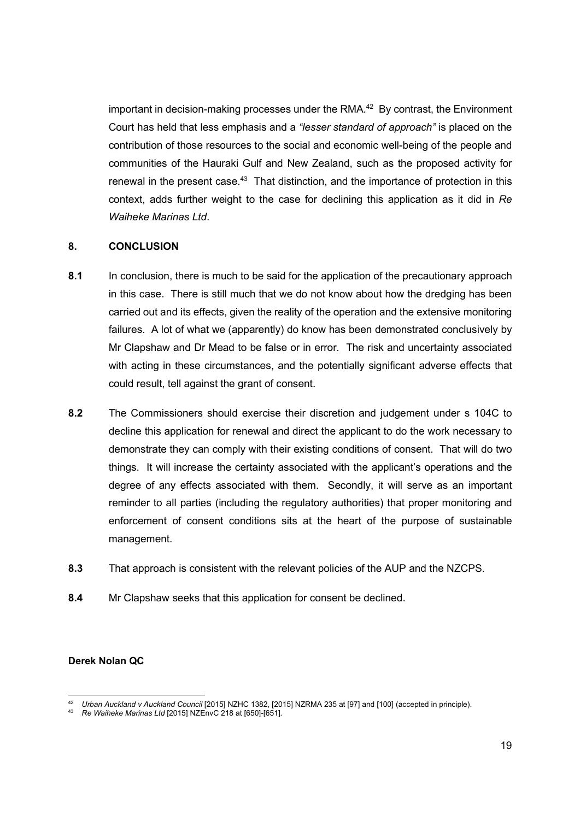important in decision-making processes under the RMA.<sup>42</sup> By contrast, the Environment Court has held that less emphasis and a "lesser standard of approach" is placed on the contribution of those resources to the social and economic well-being of the people and communities of the Hauraki Gulf and New Zealand, such as the proposed activity for renewal in the present case.<sup>43</sup> That distinction, and the importance of protection in this context, adds further weight to the case for declining this application as it did in Re Waiheke Marinas Ltd.

#### 8. CONCLUSION

- 8.1 In conclusion, there is much to be said for the application of the precautionary approach in this case. There is still much that we do not know about how the dredging has been carried out and its effects, given the reality of the operation and the extensive monitoring failures. A lot of what we (apparently) do know has been demonstrated conclusively by Mr Clapshaw and Dr Mead to be false or in error. The risk and uncertainty associated with acting in these circumstances, and the potentially significant adverse effects that could result, tell against the grant of consent.
- 8.2 The Commissioners should exercise their discretion and judgement under s 104C to decline this application for renewal and direct the applicant to do the work necessary to demonstrate they can comply with their existing conditions of consent. That will do two things. It will increase the certainty associated with the applicant's operations and the degree of any effects associated with them. Secondly, it will serve as an important reminder to all parties (including the regulatory authorities) that proper monitoring and enforcement of consent conditions sits at the heart of the purpose of sustainable management.
- 8.3 That approach is consistent with the relevant policies of the AUP and the NZCPS.
- 8.4 Mr Clapshaw seeks that this application for consent be declined.

### Derek Nolan QC

<sup>&</sup>lt;sup>42</sup> Urban Auckland v Auckland Council [2015] NZHC 1382, [2015] NZRMA 235 at [97] and [100] (accepted in principle).<br><sup>43</sup> Re Waiheke Marinas Ltd [2015] NZEnvC 218 at [650]-[651].